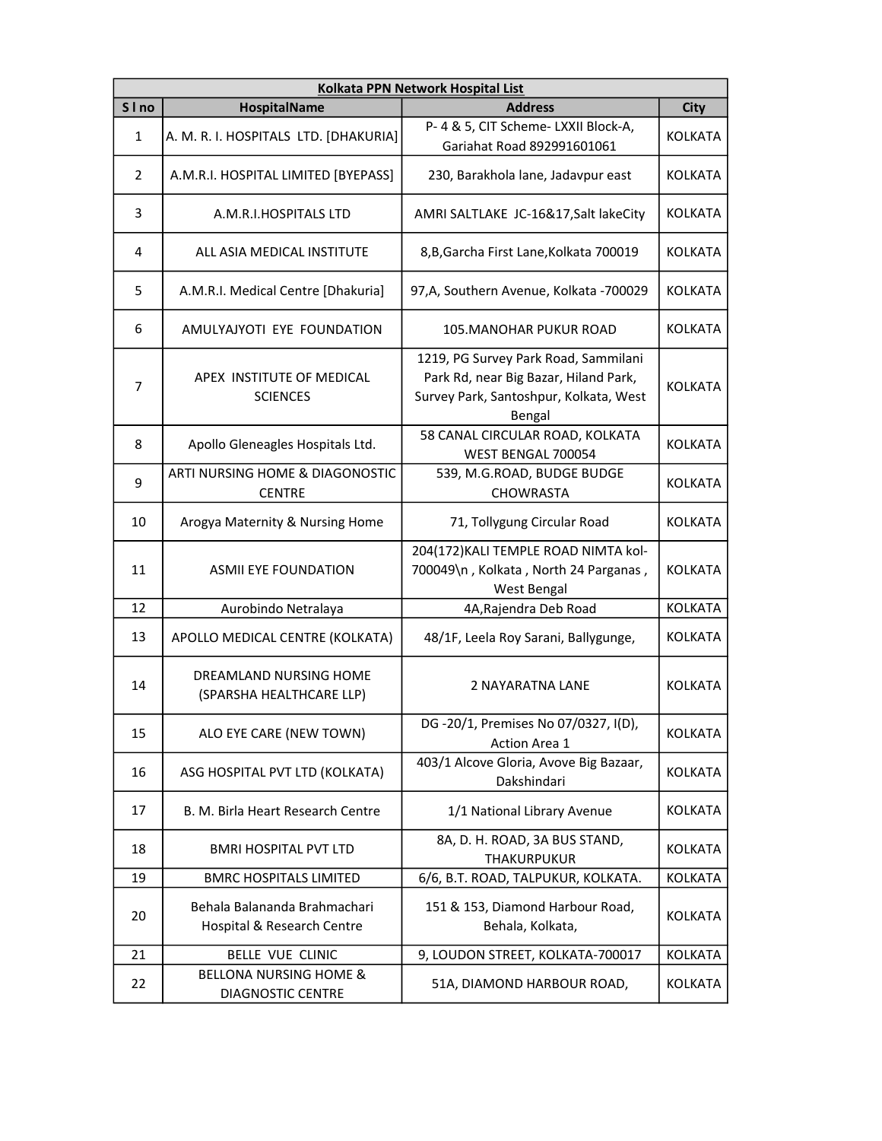|        | Kolkata PPN Network Hospital List                             |                                                                                                                                   |                |  |
|--------|---------------------------------------------------------------|-----------------------------------------------------------------------------------------------------------------------------------|----------------|--|
| S I no | <b>HospitalName</b>                                           | <b>Address</b>                                                                                                                    | <b>City</b>    |  |
| 1      | A. M. R. I. HOSPITALS LTD. [DHAKURIA]                         | P- 4 & 5, CIT Scheme- LXXII Block-A,<br>Gariahat Road 892991601061                                                                | <b>KOLKATA</b> |  |
| 2      | A.M.R.I. HOSPITAL LIMITED [BYEPASS]                           | 230, Barakhola lane, Jadavpur east                                                                                                | <b>KOLKATA</b> |  |
| 3      | A.M.R.I.HOSPITALS LTD                                         | AMRI SALTLAKE JC-16&17, Salt lakeCity                                                                                             | <b>KOLKATA</b> |  |
| 4      | ALL ASIA MEDICAL INSTITUTE                                    | 8, B, Garcha First Lane, Kolkata 700019                                                                                           | <b>KOLKATA</b> |  |
| 5      | A.M.R.I. Medical Centre [Dhakuria]                            | 97, A, Southern Avenue, Kolkata - 700029                                                                                          | <b>KOLKATA</b> |  |
| 6      | AMULYAJYOTI EYE FOUNDATION                                    | <b>105. MANOHAR PUKUR ROAD</b>                                                                                                    | <b>KOLKATA</b> |  |
| 7      | APEX INSTITUTE OF MEDICAL<br><b>SCIENCES</b>                  | 1219, PG Survey Park Road, Sammilani<br>Park Rd, near Big Bazar, Hiland Park,<br>Survey Park, Santoshpur, Kolkata, West<br>Bengal | <b>KOLKATA</b> |  |
| 8      | Apollo Gleneagles Hospitals Ltd.                              | 58 CANAL CIRCULAR ROAD, KOLKATA<br>WEST BENGAL 700054                                                                             | <b>KOLKATA</b> |  |
| 9      | ARTI NURSING HOME & DIAGONOSTIC<br><b>CENTRE</b>              | 539, M.G.ROAD, BUDGE BUDGE<br>CHOWRASTA                                                                                           | <b>KOLKATA</b> |  |
| 10     | Arogya Maternity & Nursing Home                               | 71, Tollygung Circular Road                                                                                                       | <b>KOLKATA</b> |  |
| 11     | <b>ASMII EYE FOUNDATION</b>                                   | 204(172) KALI TEMPLE ROAD NIMTA kol-<br>700049\n, Kolkata, North 24 Parganas,<br>West Bengal                                      | <b>KOLKATA</b> |  |
| 12     | Aurobindo Netralaya                                           | 4A, Rajendra Deb Road                                                                                                             | KOLKATA        |  |
| 13     | APOLLO MEDICAL CENTRE (KOLKATA)                               | 48/1F, Leela Roy Sarani, Ballygunge,                                                                                              | <b>KOLKATA</b> |  |
| 14     | DREAMLAND NURSING HOME<br>(SPARSHA HEALTHCARE LLP)            | 2 NAYARATNA LANE                                                                                                                  | <b>KOLKATA</b> |  |
| 15     | ALO EYE CARE (NEW TOWN)                                       | DG-20/1, Premises No 07/0327, I(D),<br>Action Area 1                                                                              | KOLKATA        |  |
| 16     | ASG HOSPITAL PVT LTD (KOLKATA)                                | 403/1 Alcove Gloria, Avove Big Bazaar,<br>Dakshindari                                                                             | <b>KOLKATA</b> |  |
| 17     | B. M. Birla Heart Research Centre                             | 1/1 National Library Avenue                                                                                                       | <b>KOLKATA</b> |  |
| 18     | <b>BMRI HOSPITAL PVT LTD</b>                                  | 8A, D. H. ROAD, 3A BUS STAND,<br><b>THAKURPUKUR</b>                                                                               | <b>KOLKATA</b> |  |
| 19     | <b>BMRC HOSPITALS LIMITED</b>                                 | 6/6, B.T. ROAD, TALPUKUR, KOLKATA.                                                                                                | KOLKATA        |  |
| 20     | Behala Balananda Brahmachari<br>Hospital & Research Centre    | 151 & 153, Diamond Harbour Road,<br>Behala, Kolkata,                                                                              | KOLKATA        |  |
| 21     | BELLE VUE CLINIC                                              | 9, LOUDON STREET, KOLKATA-700017                                                                                                  | <b>KOLKATA</b> |  |
| 22     | <b>BELLONA NURSING HOME &amp;</b><br><b>DIAGNOSTIC CENTRE</b> | 51A, DIAMOND HARBOUR ROAD,                                                                                                        | <b>KOLKATA</b> |  |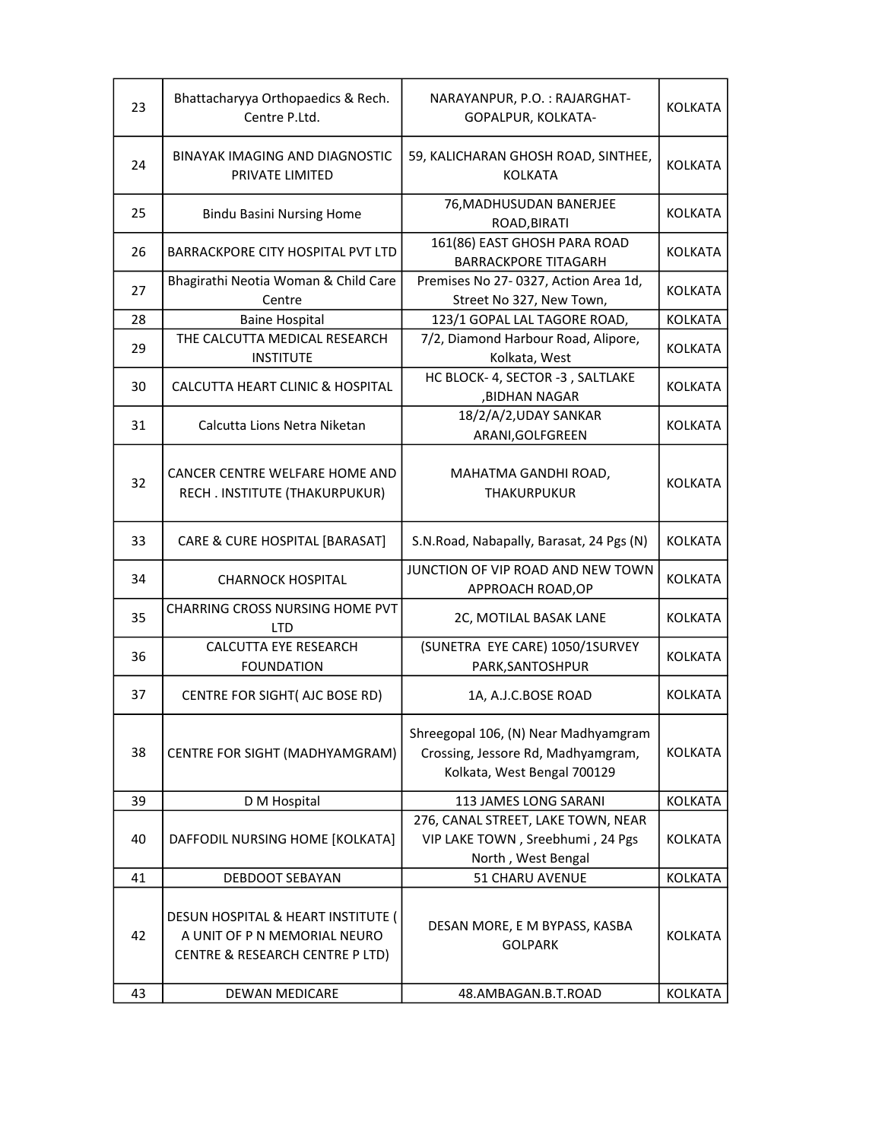| 23 | Bhattacharyya Orthopaedics & Rech.<br>Centre P.Ltd.                                                   | NARAYANPUR, P.O.: RAJARGHAT-<br>GOPALPUR, KOLKATA-                                                        | <b>KOLKATA</b> |
|----|-------------------------------------------------------------------------------------------------------|-----------------------------------------------------------------------------------------------------------|----------------|
| 24 | BINAYAK IMAGING AND DIAGNOSTIC<br>PRIVATE LIMITED                                                     | 59, KALICHARAN GHOSH ROAD, SINTHEE,<br><b>KOLKATA</b>                                                     | <b>KOLKATA</b> |
| 25 | <b>Bindu Basini Nursing Home</b>                                                                      | 76, MADHUSUDAN BANERJEE<br>ROAD, BIRATI                                                                   | <b>KOLKATA</b> |
| 26 | <b>BARRACKPORE CITY HOSPITAL PVT LTD</b>                                                              | 161(86) EAST GHOSH PARA ROAD<br><b>BARRACKPORE TITAGARH</b>                                               | KOLKATA        |
| 27 | Bhagirathi Neotia Woman & Child Care<br>Centre                                                        | Premises No 27-0327, Action Area 1d,<br>Street No 327, New Town,                                          | <b>KOLKATA</b> |
| 28 | <b>Baine Hospital</b>                                                                                 | 123/1 GOPAL LAL TAGORE ROAD,                                                                              | <b>KOLKATA</b> |
|    | THE CALCUTTA MEDICAL RESEARCH                                                                         | 7/2, Diamond Harbour Road, Alipore,                                                                       |                |
| 29 | <b>INSTITUTE</b>                                                                                      | Kolkata, West                                                                                             | KOLKATA        |
| 30 | CALCUTTA HEART CLINIC & HOSPITAL                                                                      | HC BLOCK- 4, SECTOR -3, SALTLAKE<br>,BIDHAN NAGAR                                                         | KOLKATA        |
| 31 | Calcutta Lions Netra Niketan                                                                          | 18/2/A/2, UDAY SANKAR<br>ARANI, GOLFGREEN                                                                 | <b>KOLKATA</b> |
| 32 | CANCER CENTRE WELFARE HOME AND<br>RECH. INSTITUTE (THAKURPUKUR)                                       | MAHATMA GANDHI ROAD,<br><b>THAKURPUKUR</b>                                                                | <b>KOLKATA</b> |
| 33 | CARE & CURE HOSPITAL [BARASAT]                                                                        | S.N.Road, Nabapally, Barasat, 24 Pgs (N)                                                                  | <b>KOLKATA</b> |
| 34 | <b>CHARNOCK HOSPITAL</b>                                                                              | JUNCTION OF VIP ROAD AND NEW TOWN<br>APPROACH ROAD, OP                                                    | KOLKATA        |
| 35 | CHARRING CROSS NURSING HOME PVT<br><b>LTD</b>                                                         | 2C, MOTILAL BASAK LANE                                                                                    | KOLKATA        |
|    | CALCUTTA EYE RESEARCH                                                                                 | (SUNETRA EYE CARE) 1050/1SURVEY                                                                           |                |
| 36 | <b>FOUNDATION</b>                                                                                     | PARK, SANTOSHPUR                                                                                          | KOLKATA        |
| 37 | CENTRE FOR SIGHT( AJC BOSE RD)                                                                        | 1A, A.J.C.BOSE ROAD                                                                                       | <b>KOLKATA</b> |
| 38 | CENTRE FOR SIGHT (MADHYAMGRAM)                                                                        | Shreegopal 106, (N) Near Madhyamgram<br>Crossing, Jessore Rd, Madhyamgram,<br>Kolkata, West Bengal 700129 | KOLKATA        |
| 39 | D M Hospital                                                                                          | 113 JAMES LONG SARANI                                                                                     | <b>KOLKATA</b> |
|    |                                                                                                       | 276, CANAL STREET, LAKE TOWN, NEAR                                                                        |                |
| 40 | DAFFODIL NURSING HOME [KOLKATA]                                                                       | VIP LAKE TOWN, Sreebhumi, 24 Pgs<br>North, West Bengal                                                    | <b>KOLKATA</b> |
|    |                                                                                                       |                                                                                                           | <b>KOLKATA</b> |
| 41 | DEBDOOT SEBAYAN                                                                                       | 51 CHARU AVENUE                                                                                           |                |
| 42 | DESUN HOSPITAL & HEART INSTITUTE (<br>A UNIT OF P N MEMORIAL NEURO<br>CENTRE & RESEARCH CENTRE P LTD) | DESAN MORE, E M BYPASS, KASBA<br><b>GOLPARK</b>                                                           | KOLKATA        |
| 43 | DEWAN MEDICARE                                                                                        | 48.AMBAGAN.B.T.ROAD                                                                                       | KOLKATA        |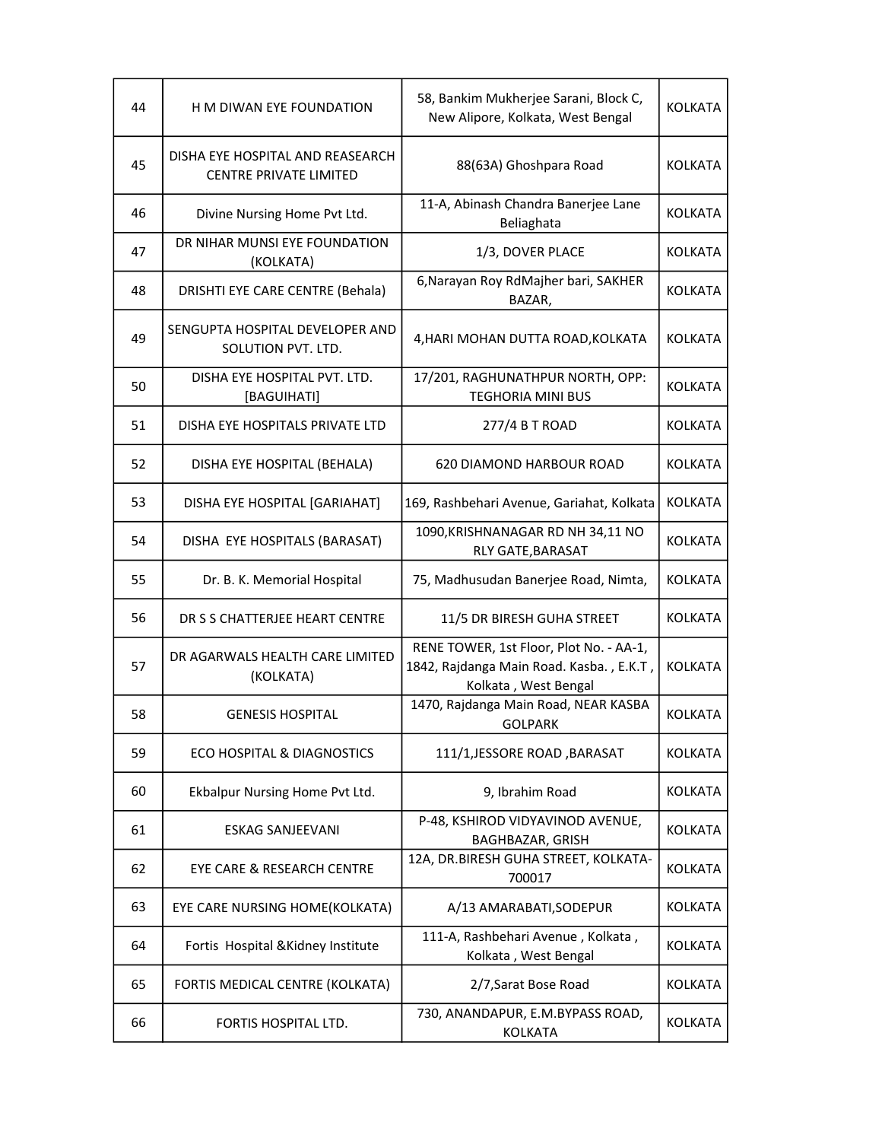| 44 | H M DIWAN EYE FOUNDATION                                          | 58, Bankim Mukherjee Sarani, Block C,<br>New Alipore, Kolkata, West Bengal                                  | KOLKATA        |
|----|-------------------------------------------------------------------|-------------------------------------------------------------------------------------------------------------|----------------|
| 45 | DISHA EYE HOSPITAL AND REASEARCH<br><b>CENTRE PRIVATE LIMITED</b> | 88(63A) Ghoshpara Road                                                                                      | <b>KOLKATA</b> |
| 46 | Divine Nursing Home Pvt Ltd.                                      | 11-A, Abinash Chandra Banerjee Lane<br>Beliaghata                                                           | <b>KOLKATA</b> |
| 47 | DR NIHAR MUNSI EYE FOUNDATION<br>(KOLKATA)                        | 1/3, DOVER PLACE                                                                                            | <b>KOLKATA</b> |
| 48 | DRISHTI EYE CARE CENTRE (Behala)                                  | 6, Narayan Roy RdMajher bari, SAKHER<br>BAZAR,                                                              | KOLKATA        |
| 49 | SENGUPTA HOSPITAL DEVELOPER AND<br>SOLUTION PVT. LTD.             | 4, HARI MOHAN DUTTA ROAD, KOLKATA                                                                           | <b>KOLKATA</b> |
| 50 | DISHA EYE HOSPITAL PVT. LTD.<br>[BAGUIHATI]                       | 17/201, RAGHUNATHPUR NORTH, OPP:<br><b>TEGHORIA MINI BUS</b>                                                | <b>KOLKATA</b> |
| 51 | DISHA EYE HOSPITALS PRIVATE LTD                                   | 277/4 B T ROAD                                                                                              | <b>KOLKATA</b> |
| 52 | DISHA EYE HOSPITAL (BEHALA)                                       | <b>620 DIAMOND HARBOUR ROAD</b>                                                                             | <b>KOLKATA</b> |
| 53 | DISHA EYE HOSPITAL [GARIAHAT]                                     | 169, Rashbehari Avenue, Gariahat, Kolkata                                                                   | <b>KOLKATA</b> |
| 54 | DISHA EYE HOSPITALS (BARASAT)                                     | 1090, KRISHNANAGAR RD NH 34, 11 NO<br>RLY GATE, BARASAT                                                     | <b>KOLKATA</b> |
| 55 | Dr. B. K. Memorial Hospital                                       | 75, Madhusudan Banerjee Road, Nimta,                                                                        | <b>KOLKATA</b> |
| 56 | DR S S CHATTERJEE HEART CENTRE                                    | 11/5 DR BIRESH GUHA STREET                                                                                  | <b>KOLKATA</b> |
| 57 | DR AGARWALS HEALTH CARE LIMITED<br>(KOLKATA)                      | RENE TOWER, 1st Floor, Plot No. - AA-1,<br>1842, Rajdanga Main Road. Kasba., E.K.T,<br>Kolkata, West Bengal | <b>KOLKATA</b> |
| 58 | <b>GENESIS HOSPITAL</b>                                           | 1470, Rajdanga Main Road, NEAR KASBA<br>GOLPARK                                                             | <b>KOLKATA</b> |
| 59 | ECO HOSPITAL & DIAGNOSTICS                                        | 111/1, JESSORE ROAD, BARASAT                                                                                | <b>KOLKATA</b> |
| 60 | Ekbalpur Nursing Home Pvt Ltd.                                    | 9, Ibrahim Road                                                                                             | <b>KOLKATA</b> |
| 61 | ESKAG SANJEEVANI                                                  | P-48, KSHIROD VIDYAVINOD AVENUE,<br>BAGHBAZAR, GRISH                                                        | <b>KOLKATA</b> |
| 62 | EYE CARE & RESEARCH CENTRE                                        | 12A, DR.BIRESH GUHA STREET, KOLKATA-<br>700017                                                              | KOLKATA        |
| 63 | EYE CARE NURSING HOME(KOLKATA)                                    | A/13 AMARABATI, SODEPUR                                                                                     | KOLKATA        |
| 64 | Fortis Hospital & Kidney Institute                                | 111-A, Rashbehari Avenue, Kolkata,<br>Kolkata, West Bengal                                                  | KOLKATA        |
| 65 | FORTIS MEDICAL CENTRE (KOLKATA)                                   | 2/7, Sarat Bose Road                                                                                        | <b>KOLKATA</b> |
| 66 | FORTIS HOSPITAL LTD.                                              | 730, ANANDAPUR, E.M.BYPASS ROAD,<br><b>KOLKATA</b>                                                          | <b>KOLKATA</b> |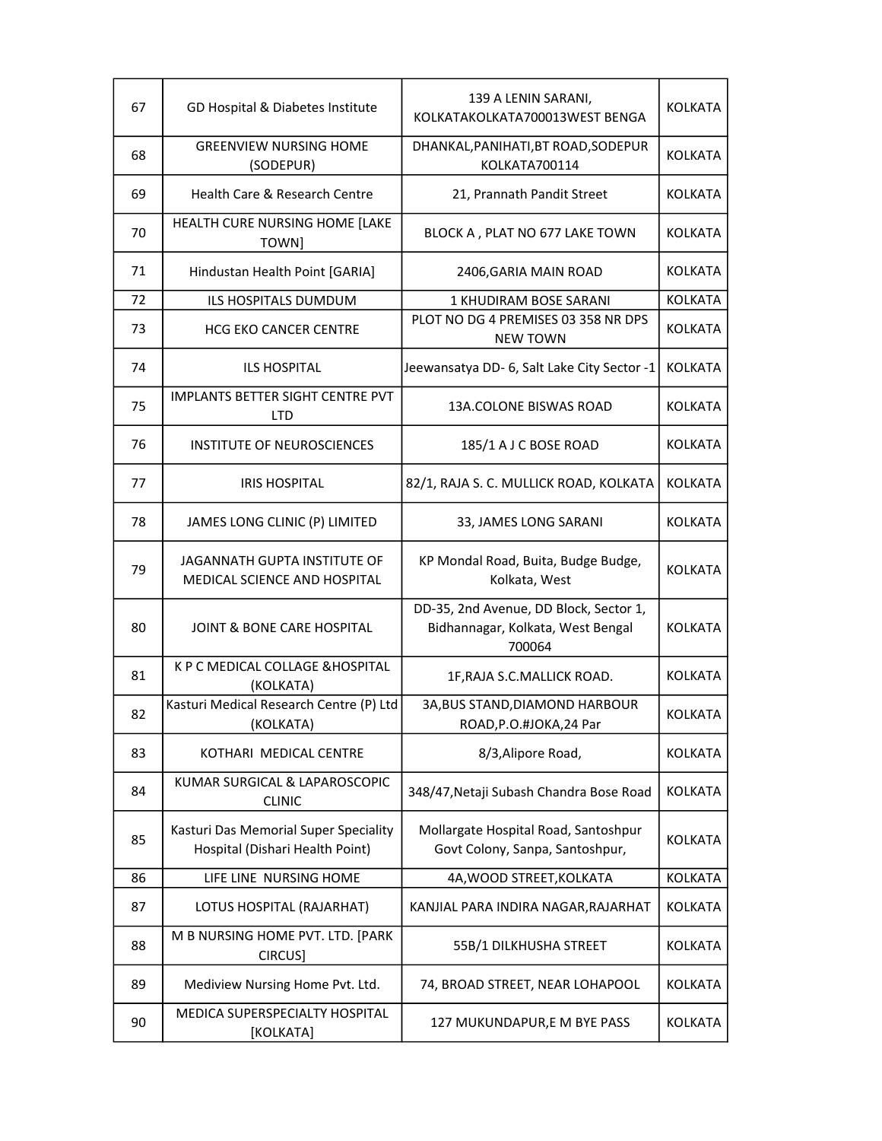| 67 | GD Hospital & Diabetes Institute                                         | 139 A LENIN SARANI,<br>KOLKATAKOLKATA700013WEST BENGA                                 | <b>KOLKATA</b> |
|----|--------------------------------------------------------------------------|---------------------------------------------------------------------------------------|----------------|
| 68 | <b>GREENVIEW NURSING HOME</b><br>(SODEPUR)                               | DHANKAL, PANIHATI, BT ROAD, SODEPUR<br>KOLKATA700114                                  | <b>KOLKATA</b> |
| 69 | Health Care & Research Centre                                            | 21, Prannath Pandit Street                                                            | <b>KOLKATA</b> |
| 70 | HEALTH CURE NURSING HOME [LAKE<br>TOWN]                                  | BLOCK A, PLAT NO 677 LAKE TOWN                                                        | <b>KOLKATA</b> |
| 71 | Hindustan Health Point [GARIA]                                           | 2406, GARIA MAIN ROAD                                                                 | <b>KOLKATA</b> |
| 72 | ILS HOSPITALS DUMDUM                                                     | 1 KHUDIRAM BOSE SARANI                                                                | <b>KOLKATA</b> |
| 73 | HCG EKO CANCER CENTRE                                                    | PLOT NO DG 4 PREMISES 03 358 NR DPS<br><b>NEW TOWN</b>                                | <b>KOLKATA</b> |
| 74 | <b>ILS HOSPITAL</b>                                                      | Jeewansatya DD- 6, Salt Lake City Sector -1                                           | <b>KOLKATA</b> |
| 75 | IMPLANTS BETTER SIGHT CENTRE PVT<br><b>LTD</b>                           | 13A.COLONE BISWAS ROAD                                                                | <b>KOLKATA</b> |
| 76 | INSTITUTE OF NEUROSCIENCES                                               | 185/1 A J C BOSE ROAD                                                                 | <b>KOLKATA</b> |
| 77 | <b>IRIS HOSPITAL</b>                                                     | 82/1, RAJA S. C. MULLICK ROAD, KOLKATA                                                | <b>KOLKATA</b> |
| 78 | JAMES LONG CLINIC (P) LIMITED                                            | 33, JAMES LONG SARANI                                                                 | <b>KOLKATA</b> |
| 79 | JAGANNATH GUPTA INSTITUTE OF<br>MEDICAL SCIENCE AND HOSPITAL             | KP Mondal Road, Buita, Budge Budge,<br>Kolkata, West                                  | <b>KOLKATA</b> |
| 80 | <b>JOINT &amp; BONE CARE HOSPITAL</b>                                    | DD-35, 2nd Avenue, DD Block, Sector 1,<br>Bidhannagar, Kolkata, West Bengal<br>700064 | <b>KOLKATA</b> |
| 81 | K P C MEDICAL COLLAGE & HOSPITAL<br>(KOLKATA)                            | 1F, RAJA S.C. MALLICK ROAD.                                                           | <b>KOLKATA</b> |
| 82 | Kasturi Medical Research Centre (P) Ltd<br>(KOLKATA)                     | 3A, BUS STAND, DIAMOND HARBOUR<br>ROAD, P.O.#JOKA, 24 Par                             | <b>KOLKATA</b> |
| 83 | KOTHARI MEDICAL CENTRE                                                   | 8/3, Alipore Road,                                                                    | <b>KOLKATA</b> |
| 84 | KUMAR SURGICAL & LAPAROSCOPIC<br><b>CLINIC</b>                           | 348/47, Netaji Subash Chandra Bose Road                                               | <b>KOLKATA</b> |
| 85 | Kasturi Das Memorial Super Speciality<br>Hospital (Dishari Health Point) | Mollargate Hospital Road, Santoshpur<br>Govt Colony, Sanpa, Santoshpur,               | <b>KOLKATA</b> |
| 86 | LIFE LINE NURSING HOME                                                   | 4A, WOOD STREET, KOLKATA                                                              | <b>KOLKATA</b> |
| 87 | LOTUS HOSPITAL (RAJARHAT)                                                | KANJIAL PARA INDIRA NAGAR, RAJARHAT                                                   | <b>KOLKATA</b> |
| 88 | M B NURSING HOME PVT. LTD. [PARK<br>CIRCUS]                              | 55B/1 DILKHUSHA STREET                                                                | <b>KOLKATA</b> |
| 89 | Mediview Nursing Home Pvt. Ltd.                                          | 74, BROAD STREET, NEAR LOHAPOOL                                                       | <b>KOLKATA</b> |
| 90 | MEDICA SUPERSPECIALTY HOSPITAL<br>[KOLKATA]                              | 127 MUKUNDAPUR,E M BYE PASS                                                           | <b>KOLKATA</b> |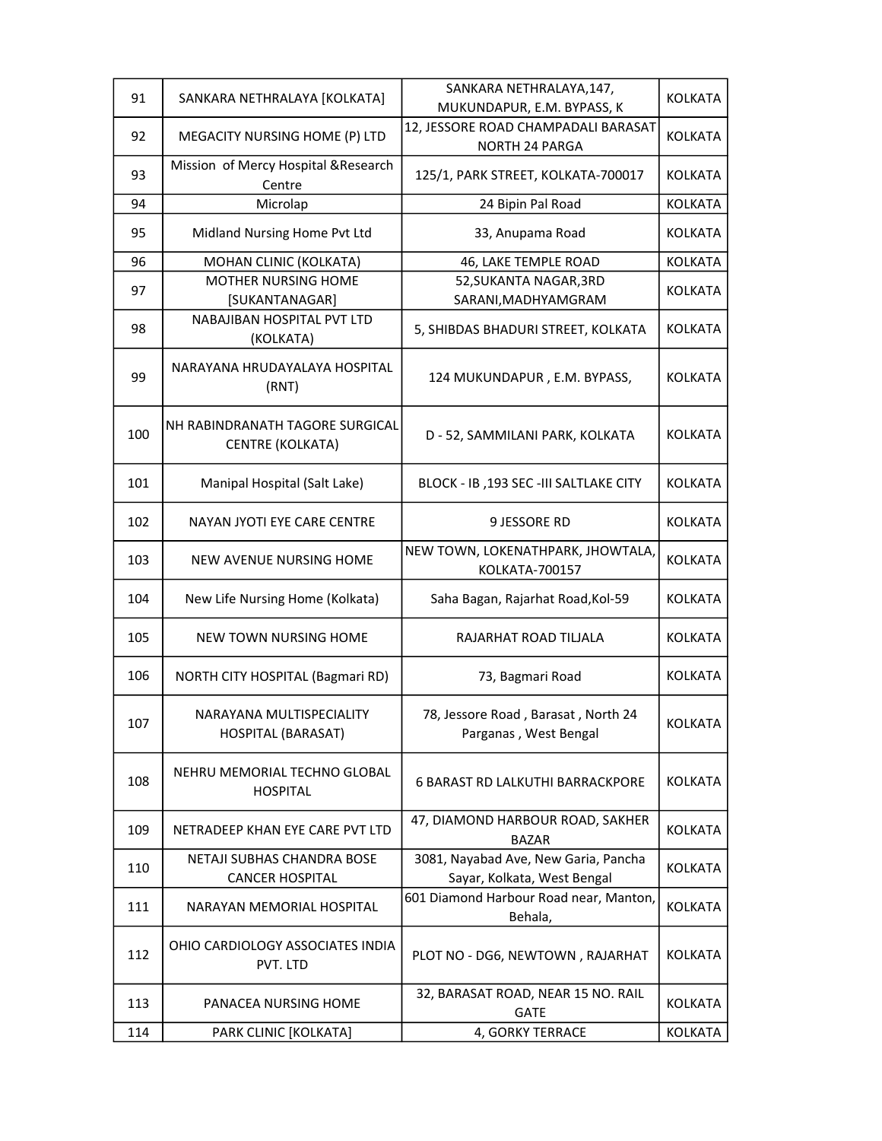| 91  | SANKARA NETHRALAYA [KOLKATA]                                | SANKARA NETHRALAYA, 147,                                            | <b>KOLKATA</b> |
|-----|-------------------------------------------------------------|---------------------------------------------------------------------|----------------|
|     |                                                             | MUKUNDAPUR, E.M. BYPASS, K                                          |                |
| 92  | MEGACITY NURSING HOME (P) LTD                               | 12, JESSORE ROAD CHAMPADALI BARASAT                                 | <b>KOLKATA</b> |
|     |                                                             | NORTH 24 PARGA                                                      |                |
| 93  | Mission of Mercy Hospital & Research<br>Centre              | 125/1, PARK STREET, KOLKATA-700017                                  | <b>KOLKATA</b> |
| 94  | Microlap                                                    | 24 Bipin Pal Road                                                   | <b>KOLKATA</b> |
| 95  | Midland Nursing Home Pvt Ltd                                | 33, Anupama Road                                                    | <b>KOLKATA</b> |
| 96  | MOHAN CLINIC (KOLKATA)                                      | 46, LAKE TEMPLE ROAD                                                | <b>KOLKATA</b> |
| 97  | MOTHER NURSING HOME                                         | 52, SUKANTA NAGAR, 3RD                                              | <b>KOLKATA</b> |
|     | [SUKANTANAGAR]                                              | SARANI, MADHYAMGRAM                                                 |                |
| 98  | NABAJIBAN HOSPITAL PVT LTD<br>(KOLKATA)                     | 5, SHIBDAS BHADURI STREET, KOLKATA                                  | <b>KOLKATA</b> |
| 99  | NARAYANA HRUDAYALAYA HOSPITAL<br>(RNT)                      | 124 MUKUNDAPUR, E.M. BYPASS,                                        | <b>KOLKATA</b> |
| 100 | NH RABINDRANATH TAGORE SURGICAL<br>CENTRE (KOLKATA)         | D - 52, SAMMILANI PARK, KOLKATA                                     | <b>KOLKATA</b> |
| 101 | Manipal Hospital (Salt Lake)                                | BLOCK - IB, 193 SEC - III SALTLAKE CITY                             | <b>KOLKATA</b> |
| 102 | NAYAN JYOTI EYE CARE CENTRE                                 | 9 JESSORE RD                                                        | <b>KOLKATA</b> |
| 103 | NEW AVENUE NURSING HOME                                     | NEW TOWN, LOKENATHPARK, JHOWTALA,<br>KOLKATA-700157                 | <b>KOLKATA</b> |
| 104 | New Life Nursing Home (Kolkata)                             | Saha Bagan, Rajarhat Road, Kol-59                                   | <b>KOLKATA</b> |
| 105 | NEW TOWN NURSING HOME                                       | RAJARHAT ROAD TILJALA                                               | <b>KOLKATA</b> |
| 106 | NORTH CITY HOSPITAL (Bagmari RD)                            | 73, Bagmari Road                                                    | <b>KOLKATA</b> |
| 107 | NARAYANA MULTISPECIALITY<br><b>HOSPITAL (BARASAT)</b>       | 78, Jessore Road, Barasat, North 24<br>Parganas, West Bengal        | <b>KOLKATA</b> |
| 108 | NEHRU MEMORIAL TECHNO GLOBAL<br><b>HOSPITAL</b>             | <b>6 BARAST RD LALKUTHI BARRACKPORE</b>                             | <b>KOLKATA</b> |
| 109 | NETRADEEP KHAN EYE CARE PVT LTD                             | 47, DIAMOND HARBOUR ROAD, SAKHER<br><b>BAZAR</b>                    | <b>KOLKATA</b> |
| 110 | <b>NETAJI SUBHAS CHANDRA BOSE</b><br><b>CANCER HOSPITAL</b> | 3081, Nayabad Ave, New Garia, Pancha<br>Sayar, Kolkata, West Bengal | <b>KOLKATA</b> |
| 111 | NARAYAN MEMORIAL HOSPITAL                                   | 601 Diamond Harbour Road near, Manton,<br>Behala,                   | <b>KOLKATA</b> |
| 112 | OHIO CARDIOLOGY ASSOCIATES INDIA<br>PVT. LTD                | PLOT NO - DG6, NEWTOWN, RAJARHAT                                    | <b>KOLKATA</b> |
| 113 | PANACEA NURSING HOME                                        | 32, BARASAT ROAD, NEAR 15 NO. RAIL<br>GATE                          | <b>KOLKATA</b> |
| 114 | PARK CLINIC [KOLKATA]                                       | 4, GORKY TERRACE                                                    | <b>KOLKATA</b> |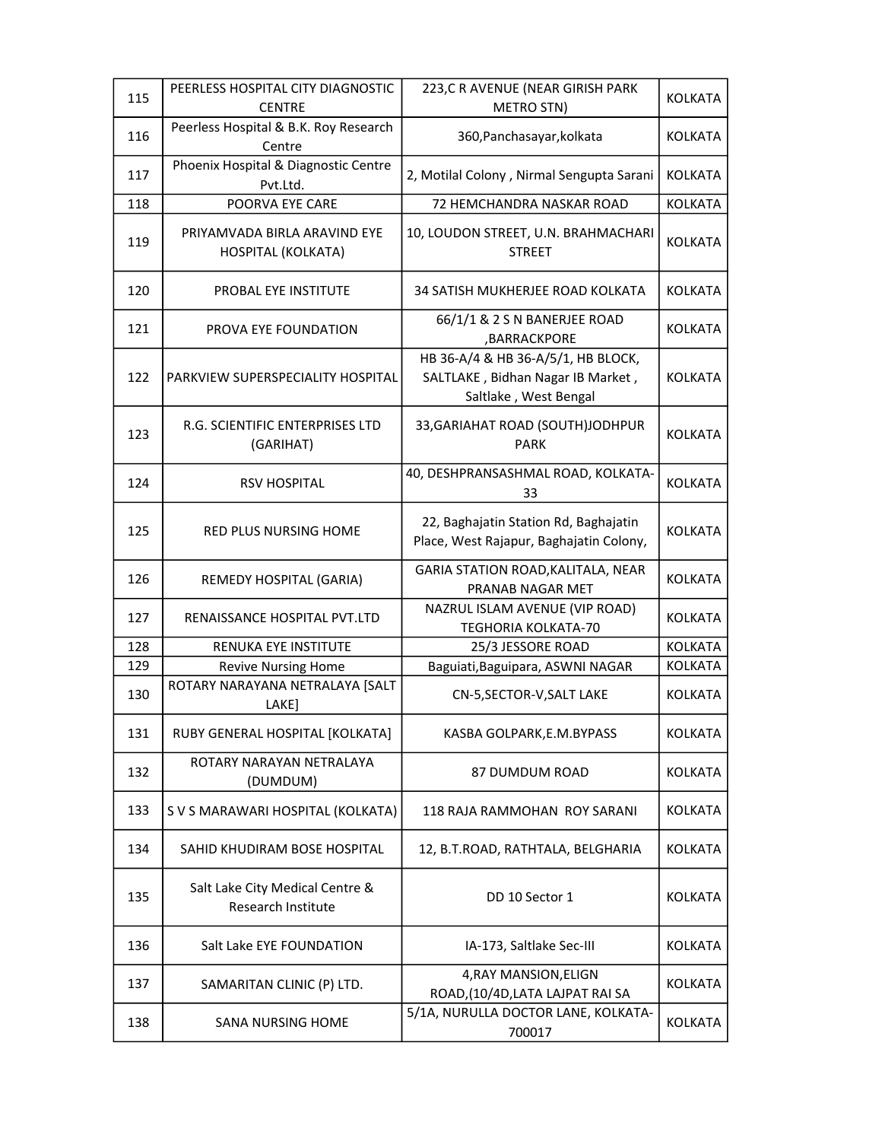|     | PEERLESS HOSPITAL CITY DIAGNOSTIC                     | 223, CR AVENUE (NEAR GIRISH PARK                                                                 |                |
|-----|-------------------------------------------------------|--------------------------------------------------------------------------------------------------|----------------|
| 115 | <b>CENTRE</b>                                         | <b>METRO STN)</b>                                                                                | <b>KOLKATA</b> |
| 116 | Peerless Hospital & B.K. Roy Research<br>Centre       | 360, Panchasayar, kolkata                                                                        | <b>KOLKATA</b> |
| 117 | Phoenix Hospital & Diagnostic Centre<br>Pvt.Ltd.      | 2, Motilal Colony, Nirmal Sengupta Sarani                                                        | <b>KOLKATA</b> |
| 118 | POORVA EYE CARE                                       | 72 HEMCHANDRA NASKAR ROAD                                                                        | <b>KOLKATA</b> |
| 119 | PRIYAMVADA BIRLA ARAVIND EYE<br>HOSPITAL (KOLKATA)    | 10, LOUDON STREET, U.N. BRAHMACHARI<br><b>STREET</b>                                             | <b>KOLKATA</b> |
| 120 | <b>PROBAL EYE INSTITUTE</b>                           | 34 SATISH MUKHERJEE ROAD KOLKATA                                                                 | <b>KOLKATA</b> |
| 121 | PROVA EYE FOUNDATION                                  | 66/1/1 & 2 S N BANERJEE ROAD<br>,BARRACKPORE                                                     | <b>KOLKATA</b> |
| 122 | PARKVIEW SUPERSPECIALITY HOSPITAL                     | HB 36-A/4 & HB 36-A/5/1, HB BLOCK,<br>SALTLAKE, Bidhan Nagar IB Market,<br>Saltlake, West Bengal | <b>KOLKATA</b> |
| 123 | R.G. SCIENTIFIC ENTERPRISES LTD<br>(GARIHAT)          | 33, GARIAHAT ROAD (SOUTH) JODHPUR<br>PARK                                                        | <b>KOLKATA</b> |
| 124 | <b>RSV HOSPITAL</b>                                   | 40, DESHPRANSASHMAL ROAD, KOLKATA-<br>33                                                         | <b>KOLKATA</b> |
| 125 | RED PLUS NURSING HOME                                 | 22, Baghajatin Station Rd, Baghajatin<br>Place, West Rajapur, Baghajatin Colony,                 | <b>KOLKATA</b> |
| 126 | REMEDY HOSPITAL (GARIA)                               | GARIA STATION ROAD, KALITALA, NEAR<br>PRANAB NAGAR MET                                           | <b>KOLKATA</b> |
| 127 | RENAISSANCE HOSPITAL PVT.LTD                          | NAZRUL ISLAM AVENUE (VIP ROAD)<br><b>TEGHORIA KOLKATA-70</b>                                     | <b>KOLKATA</b> |
| 128 | RENUKA EYE INSTITUTE                                  | 25/3 JESSORE ROAD                                                                                | <b>KOLKATA</b> |
| 129 | <b>Revive Nursing Home</b>                            | Baguiati, Baguipara, ASWNI NAGAR                                                                 | <b>KOLKATA</b> |
| 130 | ROTARY NARAYANA NETRALAYA [SALT<br>LAKE]              | CN-5, SECTOR-V, SALT LAKE                                                                        | <b>KOLKATA</b> |
| 131 | RUBY GENERAL HOSPITAL [KOLKATA]                       | KASBA GOLPARK, E.M. BYPASS                                                                       | <b>KOLKATA</b> |
| 132 | ROTARY NARAYAN NETRALAYA<br>(DUMDUM)                  | 87 DUMDUM ROAD                                                                                   | <b>KOLKATA</b> |
| 133 | S V S MARAWARI HOSPITAL (KOLKATA)                     | 118 RAJA RAMMOHAN ROY SARANI                                                                     | <b>KOLKATA</b> |
| 134 | SAHID KHUDIRAM BOSE HOSPITAL                          | 12, B.T.ROAD, RATHTALA, BELGHARIA                                                                | <b>KOLKATA</b> |
| 135 | Salt Lake City Medical Centre &<br>Research Institute | DD 10 Sector 1                                                                                   | <b>KOLKATA</b> |
| 136 | Salt Lake EYE FOUNDATION                              | IA-173, Saltlake Sec-III                                                                         | <b>KOLKATA</b> |
| 137 | SAMARITAN CLINIC (P) LTD.                             | 4, RAY MANSION, ELIGN<br>ROAD, (10/4D, LATA LAJPAT RAI SA                                        | <b>KOLKATA</b> |
| 138 | SANA NURSING HOME                                     | 5/1A, NURULLA DOCTOR LANE, KOLKATA-<br>700017                                                    | <b>KOLKATA</b> |